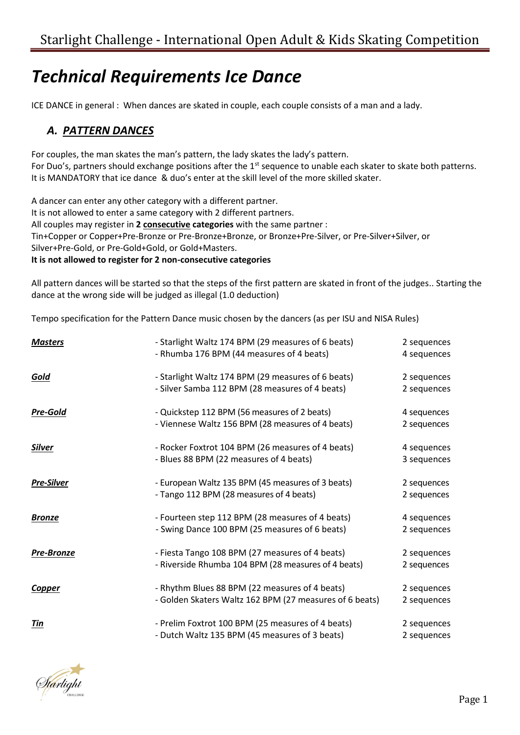# *Technical Requirements Ice Dance*

ICE DANCE in general : When dances are skated in couple, each couple consists of a man and a lady.

### *A. PATTERN DANCES*

For couples, the man skates the man's pattern, the lady skates the lady's pattern. For Duo's, partners should exchange positions after the 1<sup>st</sup> sequence to unable each skater to skate both patterns. It is MANDATORY that ice dance & duo's enter at the skill level of the more skilled skater.

A dancer can enter any other category with a different partner. It is not allowed to enter a same category with 2 different partners. All couples may register in **2 consecutive categories** with the same partner : Tin+Copper or Copper+Pre-Bronze or Pre-Bronze+Bronze, or Bronze+Pre-Silver, or Pre-Silver+Silver, or Silver+Pre-Gold, or Pre-Gold+Gold, or Gold+Masters. **It is not allowed to register for 2 non-consecutive categories**

All pattern dances will be started so that the steps of the first pattern are skated in front of the judges.. Starting the dance at the wrong side will be judged as illegal (1.0 deduction)

Tempo specification for the Pattern Dance music chosen by the dancers (as per ISU and NISA Rules)

| <b>Masters</b>    | - Starlight Waltz 174 BPM (29 measures of 6 beats)<br>- Rhumba 176 BPM (44 measures of 4 beats)           | 2 sequences<br>4 sequences |
|-------------------|-----------------------------------------------------------------------------------------------------------|----------------------------|
| <u>Gold</u>       | - Starlight Waltz 174 BPM (29 measures of 6 beats)<br>- Silver Samba 112 BPM (28 measures of 4 beats)     | 2 sequences<br>2 sequences |
| <b>Pre-Gold</b>   | - Quickstep 112 BPM (56 measures of 2 beats)<br>- Viennese Waltz 156 BPM (28 measures of 4 beats)         | 4 sequences<br>2 sequences |
| <b>Silver</b>     | - Rocker Foxtrot 104 BPM (26 measures of 4 beats)<br>- Blues 88 BPM (22 measures of 4 beats)              | 4 sequences<br>3 sequences |
| <b>Pre-Silver</b> | - European Waltz 135 BPM (45 measures of 3 beats)<br>- Tango 112 BPM (28 measures of 4 beats)             | 2 sequences<br>2 sequences |
| <b>Bronze</b>     | - Fourteen step 112 BPM (28 measures of 4 beats)<br>- Swing Dance 100 BPM (25 measures of 6 beats)        | 4 sequences<br>2 sequences |
| Pre-Bronze        | - Fiesta Tango 108 BPM (27 measures of 4 beats)<br>- Riverside Rhumba 104 BPM (28 measures of 4 beats)    | 2 sequences<br>2 sequences |
| <b>Copper</b>     | - Rhythm Blues 88 BPM (22 measures of 4 beats)<br>- Golden Skaters Waltz 162 BPM (27 measures of 6 beats) | 2 sequences<br>2 sequences |
| Tin               | - Prelim Foxtrot 100 BPM (25 measures of 4 beats)<br>- Dutch Waltz 135 BPM (45 measures of 3 beats)       | 2 sequences<br>2 sequences |

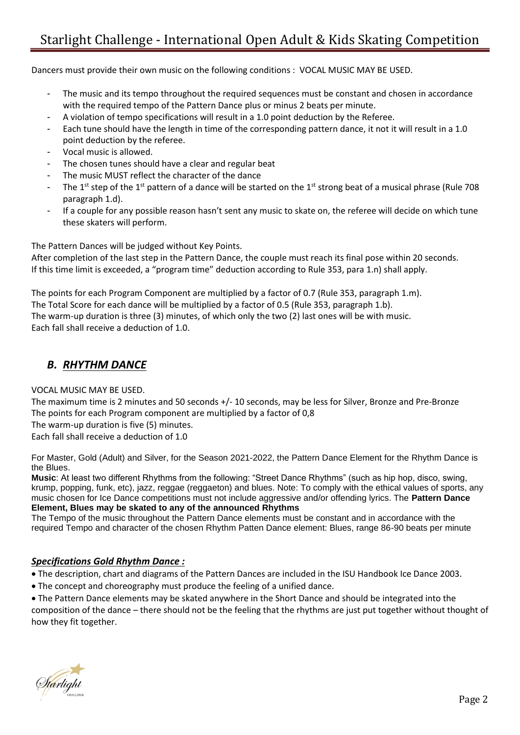## Starlight Challenge - International Open Adult & Kids Skating Competition

Dancers must provide their own music on the following conditions : VOCAL MUSIC MAY BE USED.

- The music and its tempo throughout the required sequences must be constant and chosen in accordance with the required tempo of the Pattern Dance plus or minus 2 beats per minute.
- A violation of tempo specifications will result in a 1.0 point deduction by the Referee.
- Each tune should have the length in time of the corresponding pattern dance, it not it will result in a 1.0 point deduction by the referee.
- Vocal music is allowed.
- The chosen tunes should have a clear and regular beat
- The music MUST reflect the character of the dance
- The 1<sup>st</sup> step of the 1<sup>st</sup> pattern of a dance will be started on the 1<sup>st</sup> strong beat of a musical phrase (Rule 708 paragraph 1.d).
- If a couple for any possible reason hasn't sent any music to skate on, the referee will decide on which tune these skaters will perform.

The Pattern Dances will be judged without Key Points.

After completion of the last step in the Pattern Dance, the couple must reach its final pose within 20 seconds. If this time limit is exceeded, a "program time" deduction according to Rule 353, para 1.n) shall apply.

The points for each Program Component are multiplied by a factor of 0.7 (Rule 353, paragraph 1.m). The Total Score for each dance will be multiplied by a factor of 0.5 (Rule 353, paragraph 1.b). The warm-up duration is three (3) minutes, of which only the two (2) last ones will be with music. Each fall shall receive a deduction of 1.0.

### *B. RHYTHM DANCE*

#### VOCAL MUSIC MAY BE USED.

The maximum time is 2 minutes and 50 seconds +/- 10 seconds, may be less for Silver, Bronze and Pre-Bronze The points for each Program component are multiplied by a factor of 0,8

The warm-up duration is five (5) minutes.

Each fall shall receive a deduction of 1.0

For Master, Gold (Adult) and Silver, for the Season 2021-2022, the Pattern Dance Element for the Rhythm Dance is the Blues.

**Music**: At least two different Rhythms from the following: "Street Dance Rhythms" (such as hip hop, disco, swing, krump, popping, funk, etc), jazz, reggae (reggaeton) and blues. Note: To comply with the ethical values of sports, any music chosen for Ice Dance competitions must not include aggressive and/or offending lyrics. The **Pattern Dance Element, Blues may be skated to any of the announced Rhythms** 

The Tempo of the music throughout the Pattern Dance elements must be constant and in accordance with the required Tempo and character of the chosen Rhythm Patten Dance element: Blues, range 86-90 beats per minute

### *Specifications Gold Rhythm Dance :*

• The description, chart and diagrams of the Pattern Dances are included in the ISU Handbook Ice Dance 2003.

• The concept and choreography must produce the feeling of a unified dance.

• The Pattern Dance elements may be skated anywhere in the Short Dance and should be integrated into the composition of the dance – there should not be the feeling that the rhythms are just put together without thought of how they fit together.

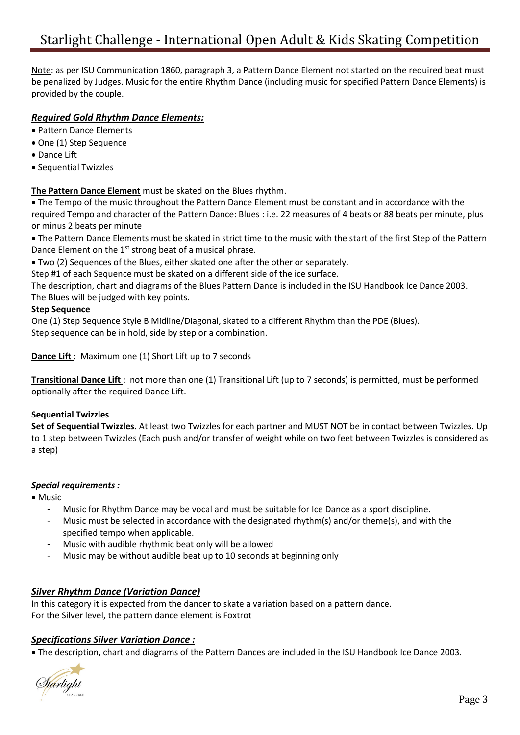Note: as per ISU Communication 1860, paragraph 3, a Pattern Dance Element not started on the required beat must be penalized by Judges. Music for the entire Rhythm Dance (including music for specified Pattern Dance Elements) is provided by the couple.

### *Required Gold Rhythm Dance Elements:*

- Pattern Dance Elements
- One (1) Step Sequence
- Dance Lift
- Sequential Twizzles

**The Pattern Dance Element** must be skated on the Blues rhythm.

• The Tempo of the music throughout the Pattern Dance Element must be constant and in accordance with the required Tempo and character of the Pattern Dance: Blues : i.e. 22 measures of 4 beats or 88 beats per minute, plus or minus 2 beats per minute

• The Pattern Dance Elements must be skated in strict time to the music with the start of the first Step of the Pattern Dance Element on the  $1<sup>st</sup>$  strong beat of a musical phrase.

• Two (2) Sequences of the Blues, either skated one after the other or separately.

Step #1 of each Sequence must be skated on a different side of the ice surface.

The description, chart and diagrams of the Blues Pattern Dance is included in the ISU Handbook Ice Dance 2003. The Blues will be judged with key points.

### **Step Sequence**

One (1) Step Sequence Style B Midline/Diagonal, skated to a different Rhythm than the PDE (Blues). Step sequence can be in hold, side by step or a combination.

**Dance Lift** : Maximum one (1) Short Lift up to 7 seconds

**Transitional Dance Lift** : not more than one (1) Transitional Lift (up to 7 seconds) is permitted, must be performed optionally after the required Dance Lift.

### **Sequential Twizzles**

**Set of Sequential Twizzles.** At least two Twizzles for each partner and MUST NOT be in contact between Twizzles. Up to 1 step between Twizzles (Each push and/or transfer of weight while on two feet between Twizzles is considered as a step)

### *Special requirements :*

• Music

- Music for Rhythm Dance may be vocal and must be suitable for Ice Dance as a sport discipline.
- Music must be selected in accordance with the designated rhythm(s) and/or theme(s), and with the specified tempo when applicable.
- Music with audible rhythmic beat only will be allowed
- Music may be without audible beat up to 10 seconds at beginning only

### *Silver Rhythm Dance (Variation Dance)*

In this category it is expected from the dancer to skate a variation based on a pattern dance. For the Silver level, the pattern dance element is Foxtrot

### *Specifications Silver Variation Dance :*

• The description, chart and diagrams of the Pattern Dances are included in the ISU Handbook Ice Dance 2003.

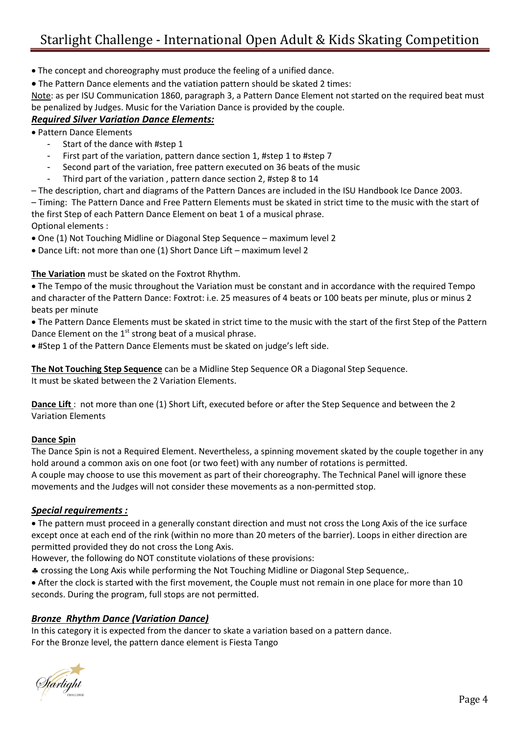## Starlight Challenge - International Open Adult & Kids Skating Competition

- The concept and choreography must produce the feeling of a unified dance.
- The Pattern Dance elements and the vatiation pattern should be skated 2 times:

Note: as per ISU Communication 1860, paragraph 3, a Pattern Dance Element not started on the required beat must be penalized by Judges. Music for the Variation Dance is provided by the couple.

### *Required Silver Variation Dance Elements:*

• Pattern Dance Elements

- Start of the dance with #step 1
- First part of the variation, pattern dance section 1, #step 1 to #step 7
- Second part of the variation, free pattern executed on 36 beats of the music
- Third part of the variation , pattern dance section 2, #step 8 to 14
- The description, chart and diagrams of the Pattern Dances are included in the ISU Handbook Ice Dance 2003. – Timing: The Pattern Dance and Free Pattern Elements must be skated in strict time to the music with the start of

the first Step of each Pattern Dance Element on beat 1 of a musical phrase. Optional elements :

• One (1) Not Touching Midline or Diagonal Step Sequence – maximum level 2

• Dance Lift: not more than one (1) Short Dance Lift – maximum level 2

### **The Variation** must be skated on the Foxtrot Rhythm.

• The Tempo of the music throughout the Variation must be constant and in accordance with the required Tempo and character of the Pattern Dance: Foxtrot: i.e. 25 measures of 4 beats or 100 beats per minute, plus or minus 2 beats per minute

• The Pattern Dance Elements must be skated in strict time to the music with the start of the first Step of the Pattern Dance Element on the 1<sup>st</sup> strong beat of a musical phrase.

• #Step 1 of the Pattern Dance Elements must be skated on judge's left side.

**The Not Touching Step Sequence** can be a Midline Step Sequence OR a Diagonal Step Sequence. It must be skated between the 2 Variation Elements.

**Dance Lift** : not more than one (1) Short Lift, executed before or after the Step Sequence and between the 2 Variation Elements

### **Dance Spin**

The Dance Spin is not a Required Element. Nevertheless, a spinning movement skated by the couple together in any hold around a common axis on one foot (or two feet) with any number of rotations is permitted. A couple may choose to use this movement as part of their choreography. The Technical Panel will ignore these movements and the Judges will not consider these movements as a non-permitted stop.

### *Special requirements :*

• The pattern must proceed in a generally constant direction and must not cross the Long Axis of the ice surface except once at each end of the rink (within no more than 20 meters of the barrier). Loops in either direction are permitted provided they do not cross the Long Axis.

However, the following do NOT constitute violations of these provisions:

crossing the Long Axis while performing the Not Touching Midline or Diagonal Step Sequence,.

• After the clock is started with the first movement, the Couple must not remain in one place for more than 10 seconds. During the program, full stops are not permitted.

### *Bronze Rhythm Dance (Variation Dance)*

In this category it is expected from the dancer to skate a variation based on a pattern dance. For the Bronze level, the pattern dance element is Fiesta Tango

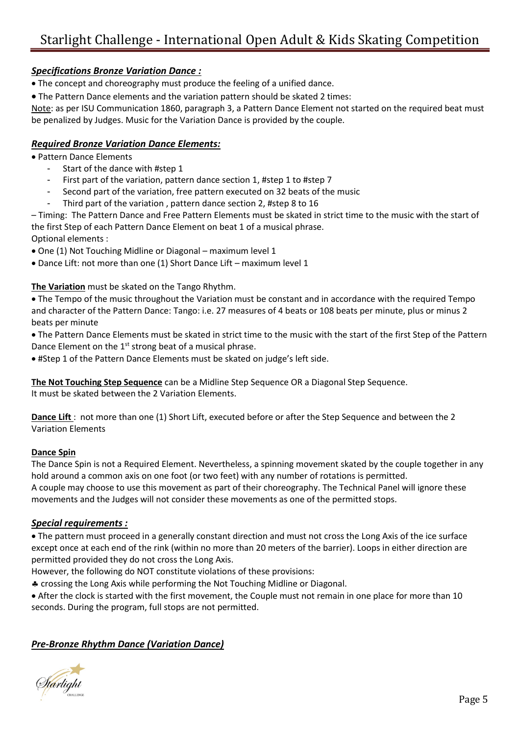### *Specifications Bronze Variation Dance :*

• The concept and choreography must produce the feeling of a unified dance.

• The Pattern Dance elements and the variation pattern should be skated 2 times:

Note: as per ISU Communication 1860, paragraph 3, a Pattern Dance Element not started on the required beat must be penalized by Judges. Music for the Variation Dance is provided by the couple.

### *Required Bronze Variation Dance Elements:*

• Pattern Dance Elements

- Start of the dance with #step 1
- First part of the variation, pattern dance section 1, #step 1 to #step 7
- Second part of the variation, free pattern executed on 32 beats of the music
- Third part of the variation, pattern dance section 2, #step 8 to 16

– Timing: The Pattern Dance and Free Pattern Elements must be skated in strict time to the music with the start of the first Step of each Pattern Dance Element on beat 1 of a musical phrase.

Optional elements :

- One (1) Not Touching Midline or Diagonal maximum level 1
- Dance Lift: not more than one (1) Short Dance Lift maximum level 1

### **The Variation** must be skated on the Tango Rhythm.

• The Tempo of the music throughout the Variation must be constant and in accordance with the required Tempo and character of the Pattern Dance: Tango: i.e. 27 measures of 4 beats or 108 beats per minute, plus or minus 2 beats per minute

- The Pattern Dance Elements must be skated in strict time to the music with the start of the first Step of the Pattern Dance Element on the 1<sup>st</sup> strong beat of a musical phrase.
- #Step 1 of the Pattern Dance Elements must be skated on judge's left side.

**The Not Touching Step Sequence** can be a Midline Step Sequence OR a Diagonal Step Sequence. It must be skated between the 2 Variation Elements.

**Dance Lift** : not more than one (1) Short Lift, executed before or after the Step Sequence and between the 2 Variation Elements

### **Dance Spin**

The Dance Spin is not a Required Element. Nevertheless, a spinning movement skated by the couple together in any hold around a common axis on one foot (or two feet) with any number of rotations is permitted. A couple may choose to use this movement as part of their choreography. The Technical Panel will ignore these movements and the Judges will not consider these movements as one of the permitted stops.

### *Special requirements :*

• The pattern must proceed in a generally constant direction and must not cross the Long Axis of the ice surface except once at each end of the rink (within no more than 20 meters of the barrier). Loops in either direction are permitted provided they do not cross the Long Axis.

However, the following do NOT constitute violations of these provisions:

crossing the Long Axis while performing the Not Touching Midline or Diagonal.

• After the clock is started with the first movement, the Couple must not remain in one place for more than 10 seconds. During the program, full stops are not permitted.

### *Pre-Bronze Rhythm Dance (Variation Dance)*

lárlight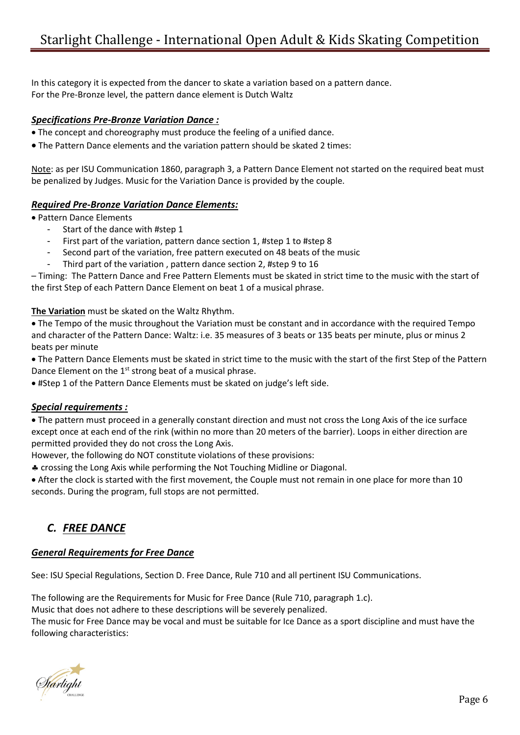In this category it is expected from the dancer to skate a variation based on a pattern dance. For the Pre-Bronze level, the pattern dance element is Dutch Waltz

### *Specifications Pre-Bronze Variation Dance :*

- The concept and choreography must produce the feeling of a unified dance.
- The Pattern Dance elements and the variation pattern should be skated 2 times:

Note: as per ISU Communication 1860, paragraph 3, a Pattern Dance Element not started on the required beat must be penalized by Judges. Music for the Variation Dance is provided by the couple.

### *Required Pre-Bronze Variation Dance Elements:*

• Pattern Dance Elements

- Start of the dance with #step 1
- First part of the variation, pattern dance section 1, #step 1 to #step 8
- Second part of the variation, free pattern executed on 48 beats of the music
- Third part of the variation, pattern dance section 2, #step 9 to 16

– Timing: The Pattern Dance and Free Pattern Elements must be skated in strict time to the music with the start of the first Step of each Pattern Dance Element on beat 1 of a musical phrase.

**The Variation** must be skated on the Waltz Rhythm.

• The Tempo of the music throughout the Variation must be constant and in accordance with the required Tempo and character of the Pattern Dance: Waltz: i.e. 35 measures of 3 beats or 135 beats per minute, plus or minus 2 beats per minute

• The Pattern Dance Elements must be skated in strict time to the music with the start of the first Step of the Pattern Dance Element on the  $1<sup>st</sup>$  strong beat of a musical phrase.

• #Step 1 of the Pattern Dance Elements must be skated on judge's left side.

#### *Special requirements :*

• The pattern must proceed in a generally constant direction and must not cross the Long Axis of the ice surface except once at each end of the rink (within no more than 20 meters of the barrier). Loops in either direction are permitted provided they do not cross the Long Axis.

However, the following do NOT constitute violations of these provisions:

crossing the Long Axis while performing the Not Touching Midline or Diagonal.

• After the clock is started with the first movement, the Couple must not remain in one place for more than 10 seconds. During the program, full stops are not permitted.

### *C. FREE DANCE*

### *General Requirements for Free Dance*

See: ISU Special Regulations, Section D. Free Dance, Rule 710 and all pertinent ISU Communications.

The following are the Requirements for Music for Free Dance (Rule 710, paragraph 1.c).

Music that does not adhere to these descriptions will be severely penalized.

The music for Free Dance may be vocal and must be suitable for Ice Dance as a sport discipline and must have the following characteristics:

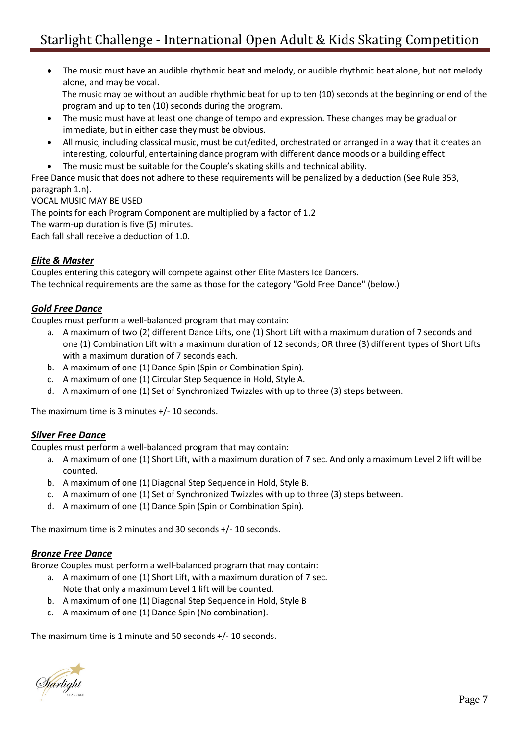• The music must have an audible rhythmic beat and melody, or audible rhythmic beat alone, but not melody alone, and may be vocal.

The music may be without an audible rhythmic beat for up to ten (10) seconds at the beginning or end of the program and up to ten (10) seconds during the program.

- The music must have at least one change of tempo and expression. These changes may be gradual or immediate, but in either case they must be obvious.
- All music, including classical music, must be cut/edited, orchestrated or arranged in a way that it creates an interesting, colourful, entertaining dance program with different dance moods or a building effect.
- The music must be suitable for the Couple's skating skills and technical ability.

Free Dance music that does not adhere to these requirements will be penalized by a deduction (See Rule 353, paragraph 1.n).

VOCAL MUSIC MAY BE USED

The points for each Program Component are multiplied by a factor of 1.2 The warm-up duration is five (5) minutes. Each fall shall receive a deduction of 1.0.

### *Elite & Master*

Couples entering this category will compete against other Elite Masters Ice Dancers. The technical requirements are the same as those for the category "Gold Free Dance" (below.)

### *Gold Free Dance*

Couples must perform a well-balanced program that may contain:

- a. A maximum of two (2) different Dance Lifts, one (1) Short Lift with a maximum duration of 7 seconds and one (1) Combination Lift with a maximum duration of 12 seconds; OR three (3) different types of Short Lifts with a maximum duration of 7 seconds each.
- b. A maximum of one (1) Dance Spin (Spin or Combination Spin).
- c. A maximum of one (1) Circular Step Sequence in Hold, Style A.
- d. A maximum of one (1) Set of Synchronized Twizzles with up to three (3) steps between.

The maximum time is 3 minutes +/- 10 seconds.

### *Silver Free Dance*

Couples must perform a well-balanced program that may contain:

- a. A maximum of one (1) Short Lift, with a maximum duration of 7 sec. And only a maximum Level 2 lift will be counted.
- b. A maximum of one (1) Diagonal Step Sequence in Hold, Style B.
- c. A maximum of one (1) Set of Synchronized Twizzles with up to three (3) steps between.
- d. A maximum of one (1) Dance Spin (Spin or Combination Spin).

The maximum time is 2 minutes and 30 seconds +/- 10 seconds.

### *Bronze Free Dance*

Bronze Couples must perform a well-balanced program that may contain:

- a. A maximum of one (1) Short Lift, with a maximum duration of 7 sec. Note that only a maximum Level 1 lift will be counted.
- b. A maximum of one (1) Diagonal Step Sequence in Hold, Style B
- c. A maximum of one (1) Dance Spin (No combination).

The maximum time is 1 minute and 50 seconds +/- 10 seconds.

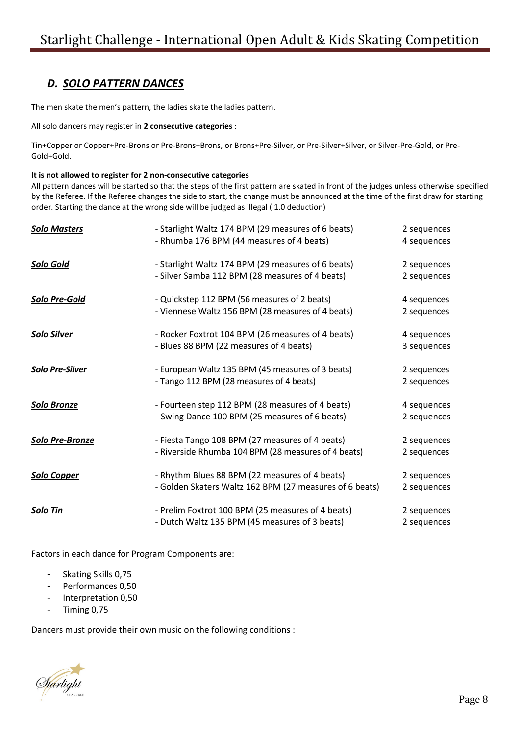### *D. SOLO PATTERN DANCES*

The men skate the men's pattern, the ladies skate the ladies pattern.

All solo dancers may register in **2 consecutive categories** :

Tin+Copper or Copper+Pre-Brons or Pre-Brons+Brons, or Brons+Pre-Silver, or Pre-Silver+Silver, or Silver-Pre-Gold, or Pre-Gold+Gold.

#### **It is not allowed to register for 2 non-consecutive categories**

All pattern dances will be started so that the steps of the first pattern are skated in front of the judges unless otherwise specified by the Referee. If the Referee changes the side to start, the change must be announced at the time of the first draw for starting order. Starting the dance at the wrong side will be judged as illegal ( 1.0 deduction)

| <b>Solo Masters</b>    | - Starlight Waltz 174 BPM (29 measures of 6 beats)      | 2 sequences |
|------------------------|---------------------------------------------------------|-------------|
|                        | - Rhumba 176 BPM (44 measures of 4 beats)               | 4 sequences |
| Solo Gold              | - Starlight Waltz 174 BPM (29 measures of 6 beats)      | 2 sequences |
|                        | - Silver Samba 112 BPM (28 measures of 4 beats)         | 2 sequences |
| Solo Pre-Gold          | - Quickstep 112 BPM (56 measures of 2 beats)            | 4 sequences |
|                        | - Viennese Waltz 156 BPM (28 measures of 4 beats)       | 2 sequences |
| <b>Solo Silver</b>     | - Rocker Foxtrot 104 BPM (26 measures of 4 beats)       | 4 sequences |
|                        | - Blues 88 BPM (22 measures of 4 beats)                 | 3 sequences |
| <b>Solo Pre-Silver</b> | - European Waltz 135 BPM (45 measures of 3 beats)       | 2 sequences |
|                        | - Tango 112 BPM (28 measures of 4 beats)                | 2 sequences |
| Solo Bronze            | - Fourteen step 112 BPM (28 measures of 4 beats)        | 4 sequences |
|                        | - Swing Dance 100 BPM (25 measures of 6 beats)          | 2 sequences |
| <b>Solo Pre-Bronze</b> | - Fiesta Tango 108 BPM (27 measures of 4 beats)         | 2 sequences |
|                        | - Riverside Rhumba 104 BPM (28 measures of 4 beats)     | 2 sequences |
| <b>Solo Copper</b>     | - Rhythm Blues 88 BPM (22 measures of 4 beats)          | 2 sequences |
|                        | - Golden Skaters Waltz 162 BPM (27 measures of 6 beats) | 2 sequences |
| <b>Solo Tin</b>        | - Prelim Foxtrot 100 BPM (25 measures of 4 beats)       | 2 sequences |
|                        | - Dutch Waltz 135 BPM (45 measures of 3 beats)          | 2 sequences |

Factors in each dance for Program Components are:

- Skating Skills 0,75
- Performances 0,50
- Interpretation 0,50
- Timing 0,75

Dancers must provide their own music on the following conditions :

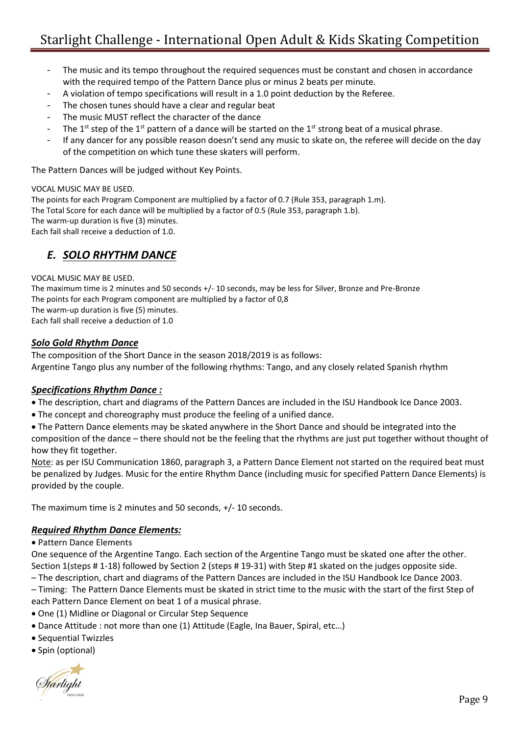- The music and its tempo throughout the required sequences must be constant and chosen in accordance with the required tempo of the Pattern Dance plus or minus 2 beats per minute.
- A violation of tempo specifications will result in a 1.0 point deduction by the Referee.
- The chosen tunes should have a clear and regular beat
- The music MUST reflect the character of the dance
- The 1<sup>st</sup> step of the 1<sup>st</sup> pattern of a dance will be started on the 1<sup>st</sup> strong beat of a musical phrase.
- If any dancer for any possible reason doesn't send any music to skate on, the referee will decide on the day of the competition on which tune these skaters will perform.

The Pattern Dances will be judged without Key Points.

VOCAL MUSIC MAY BE USED.

The points for each Program Component are multiplied by a factor of 0.7 (Rule 353, paragraph 1.m). The Total Score for each dance will be multiplied by a factor of 0.5 (Rule 353, paragraph 1.b). The warm-up duration is five (3) minutes. Each fall shall receive a deduction of 1.0.

### *E. SOLO RHYTHM DANCE*

VOCAL MUSIC MAY BE USED.

The maximum time is 2 minutes and 50 seconds +/- 10 seconds, may be less for Silver, Bronze and Pre-Bronze The points for each Program component are multiplied by a factor of 0,8 The warm-up duration is five (5) minutes. Each fall shall receive a deduction of 1.0

### *Solo Gold Rhythm Dance*

The composition of the Short Dance in the season 2018/2019 is as follows: Argentine Tango plus any number of the following rhythms: Tango, and any closely related Spanish rhythm

### *Specifications Rhythm Dance :*

- The description, chart and diagrams of the Pattern Dances are included in the ISU Handbook Ice Dance 2003.
- The concept and choreography must produce the feeling of a unified dance.
- The Pattern Dance elements may be skated anywhere in the Short Dance and should be integrated into the composition of the dance – there should not be the feeling that the rhythms are just put together without thought of

how they fit together.

Note: as per ISU Communication 1860, paragraph 3, a Pattern Dance Element not started on the required beat must be penalized by Judges. Music for the entire Rhythm Dance (including music for specified Pattern Dance Elements) is provided by the couple.

The maximum time is 2 minutes and 50 seconds, +/- 10 seconds.

### *Required Rhythm Dance Elements:*

• Pattern Dance Elements

One sequence of the Argentine Tango. Each section of the Argentine Tango must be skated one after the other. Section 1(steps # 1-18) followed by Section 2 (steps # 19-31) with Step #1 skated on the judges opposite side. – The description, chart and diagrams of the Pattern Dances are included in the ISU Handbook Ice Dance 2003.

– Timing: The Pattern Dance Elements must be skated in strict time to the music with the start of the first Step of each Pattern Dance Element on beat 1 of a musical phrase.

- One (1) Midline or Diagonal or Circular Step Sequence
- Dance Attitude : not more than one (1) Attitude (Eagle, Ina Bauer, Spiral, etc…)
- Sequential Twizzles
- Spin (optional)

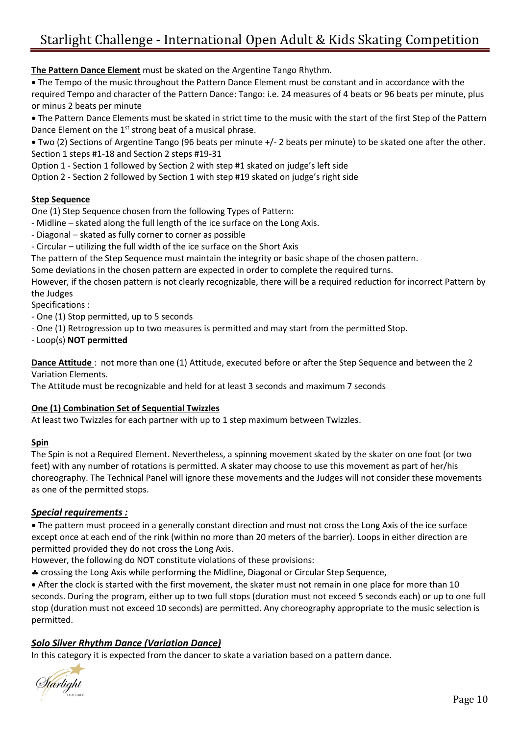**The Pattern Dance Element** must be skated on the Argentine Tango Rhythm.

• The Tempo of the music throughout the Pattern Dance Element must be constant and in accordance with the required Tempo and character of the Pattern Dance: Tango: i.e. 24 measures of 4 beats or 96 beats per minute, plus or minus 2 beats per minute

• The Pattern Dance Elements must be skated in strict time to the music with the start of the first Step of the Pattern Dance Element on the  $1<sup>st</sup>$  strong beat of a musical phrase.

• Two (2) Sections of Argentine Tango (96 beats per minute +/- 2 beats per minute) to be skated one after the other. Section 1 steps #1-18 and Section 2 steps #19-31

Option 1 - Section 1 followed by Section 2 with step #1 skated on judge's left side

Option 2 - Section 2 followed by Section 1 with step #19 skated on judge's right side

### **Step Sequence**

One (1) Step Sequence chosen from the following Types of Pattern:

- Midline skated along the full length of the ice surface on the Long Axis.
- Diagonal skated as fully corner to corner as possible
- Circular utilizing the full width of the ice surface on the Short Axis

The pattern of the Step Sequence must maintain the integrity or basic shape of the chosen pattern.

Some deviations in the chosen pattern are expected in order to complete the required turns.

However, if the chosen pattern is not clearly recognizable, there will be a required reduction for incorrect Pattern by the Judges

Specifications :

- One (1) Stop permitted, up to 5 seconds

- One (1) Retrogression up to two measures is permitted and may start from the permitted Stop.

- Loop(s) **NOT permitted**

**Dance Attitude** : not more than one (1) Attitude, executed before or after the Step Sequence and between the 2 Variation Elements.

The Attitude must be recognizable and held for at least 3 seconds and maximum 7 seconds

### **One (1) Combination Set of Sequential Twizzles**

At least two Twizzles for each partner with up to 1 step maximum between Twizzles.

### **Spin**

The Spin is not a Required Element. Nevertheless, a spinning movement skated by the skater on one foot (or two feet) with any number of rotations is permitted. A skater may choose to use this movement as part of her/his choreography. The Technical Panel will ignore these movements and the Judges will not consider these movements as one of the permitted stops.

### *Special requirements :*

• The pattern must proceed in a generally constant direction and must not cross the Long Axis of the ice surface except once at each end of the rink (within no more than 20 meters of the barrier). Loops in either direction are permitted provided they do not cross the Long Axis.

However, the following do NOT constitute violations of these provisions:

crossing the Long Axis while performing the Midline, Diagonal or Circular Step Sequence,

• After the clock is started with the first movement, the skater must not remain in one place for more than 10 seconds. During the program, either up to two full stops (duration must not exceed 5 seconds each) or up to one full stop (duration must not exceed 10 seconds) are permitted. Any choreography appropriate to the music selection is permitted.

### *Solo Silver Rhythm Dance (Variation Dance)*

In this category it is expected from the dancer to skate a variation based on a pattern dance.

Starlight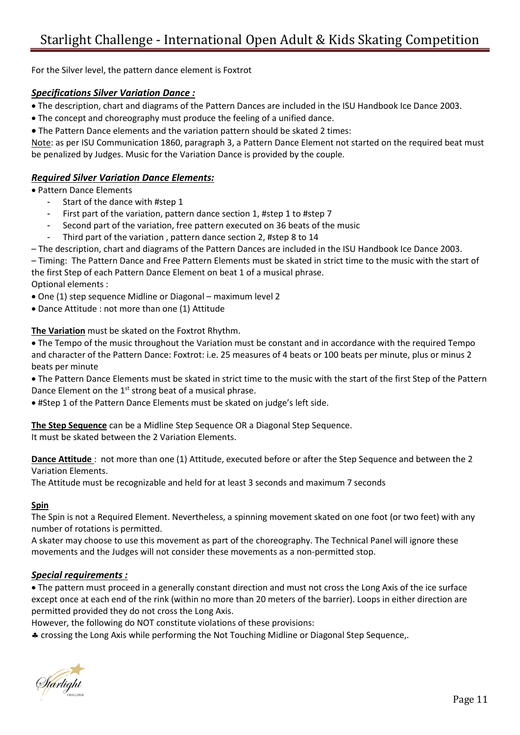For the Silver level, the pattern dance element is Foxtrot

### *Specifications Silver Variation Dance :*

- The description, chart and diagrams of the Pattern Dances are included in the ISU Handbook Ice Dance 2003.
- The concept and choreography must produce the feeling of a unified dance.
- The Pattern Dance elements and the variation pattern should be skated 2 times:

Note: as per ISU Communication 1860, paragraph 3, a Pattern Dance Element not started on the required beat must be penalized by Judges. Music for the Variation Dance is provided by the couple.

### *Required Silver Variation Dance Elements:*

- Pattern Dance Elements
	- Start of the dance with #step 1
	- First part of the variation, pattern dance section 1, #step 1 to #step 7
	- Second part of the variation, free pattern executed on 36 beats of the music
	- Third part of the variation , pattern dance section 2, #step 8 to 14
- The description, chart and diagrams of the Pattern Dances are included in the ISU Handbook Ice Dance 2003.

– Timing: The Pattern Dance and Free Pattern Elements must be skated in strict time to the music with the start of the first Step of each Pattern Dance Element on beat 1 of a musical phrase.

Optional elements :

• One (1) step sequence Midline or Diagonal – maximum level 2

• Dance Attitude : not more than one (1) Attitude

**The Variation** must be skated on the Foxtrot Rhythm.

• The Tempo of the music throughout the Variation must be constant and in accordance with the required Tempo and character of the Pattern Dance: Foxtrot: i.e. 25 measures of 4 beats or 100 beats per minute, plus or minus 2 beats per minute

• The Pattern Dance Elements must be skated in strict time to the music with the start of the first Step of the Pattern Dance Element on the 1<sup>st</sup> strong beat of a musical phrase.

• #Step 1 of the Pattern Dance Elements must be skated on judge's left side.

**The Step Sequence** can be a Midline Step Sequence OR a Diagonal Step Sequence. It must be skated between the 2 Variation Elements.

**Dance Attitude** : not more than one (1) Attitude, executed before or after the Step Sequence and between the 2 Variation Elements.

The Attitude must be recognizable and held for at least 3 seconds and maximum 7 seconds

#### **Spin**

The Spin is not a Required Element. Nevertheless, a spinning movement skated on one foot (or two feet) with any number of rotations is permitted.

A skater may choose to use this movement as part of the choreography. The Technical Panel will ignore these movements and the Judges will not consider these movements as a non-permitted stop.

### *Special requirements :*

• The pattern must proceed in a generally constant direction and must not cross the Long Axis of the ice surface except once at each end of the rink (within no more than 20 meters of the barrier). Loops in either direction are permitted provided they do not cross the Long Axis.

However, the following do NOT constitute violations of these provisions:

crossing the Long Axis while performing the Not Touching Midline or Diagonal Step Sequence,.

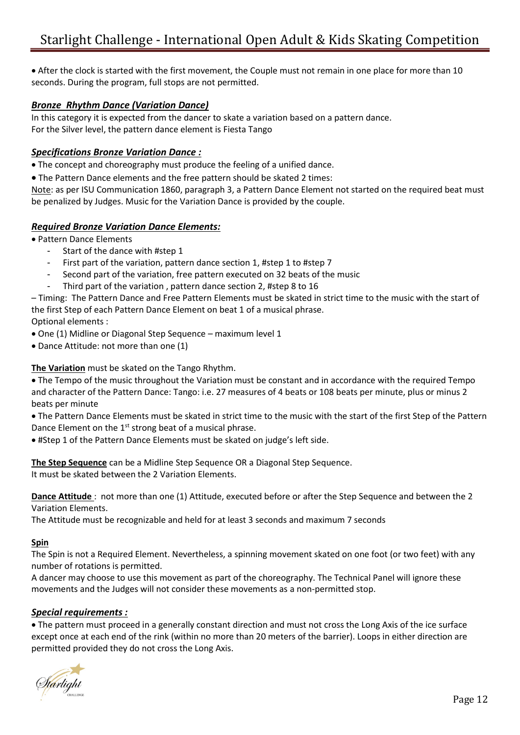• After the clock is started with the first movement, the Couple must not remain in one place for more than 10 seconds. During the program, full stops are not permitted.

### *Bronze Rhythm Dance (Variation Dance)*

In this category it is expected from the dancer to skate a variation based on a pattern dance. For the Silver level, the pattern dance element is Fiesta Tango

### *Specifications Bronze Variation Dance :*

• The concept and choreography must produce the feeling of a unified dance.

• The Pattern Dance elements and the free pattern should be skated 2 times:

Note: as per ISU Communication 1860, paragraph 3, a Pattern Dance Element not started on the required beat must be penalized by Judges. Music for the Variation Dance is provided by the couple.

### *Required Bronze Variation Dance Elements:*

• Pattern Dance Elements

- Start of the dance with #step 1
- First part of the variation, pattern dance section 1, #step 1 to #step 7
- Second part of the variation, free pattern executed on 32 beats of the music
- Third part of the variation , pattern dance section 2, #step 8 to 16

– Timing: The Pattern Dance and Free Pattern Elements must be skated in strict time to the music with the start of the first Step of each Pattern Dance Element on beat 1 of a musical phrase.

Optional elements :

- One (1) Midline or Diagonal Step Sequence maximum level 1
- Dance Attitude: not more than one (1)

**The Variation** must be skated on the Tango Rhythm.

• The Tempo of the music throughout the Variation must be constant and in accordance with the required Tempo and character of the Pattern Dance: Tango: i.e. 27 measures of 4 beats or 108 beats per minute, plus or minus 2 beats per minute

• The Pattern Dance Elements must be skated in strict time to the music with the start of the first Step of the Pattern Dance Element on the  $1<sup>st</sup>$  strong beat of a musical phrase.

• #Step 1 of the Pattern Dance Elements must be skated on judge's left side.

**The Step Sequence** can be a Midline Step Sequence OR a Diagonal Step Sequence. It must be skated between the 2 Variation Elements.

**Dance Attitude** : not more than one (1) Attitude, executed before or after the Step Sequence and between the 2 Variation Elements.

The Attitude must be recognizable and held for at least 3 seconds and maximum 7 seconds

#### **Spin**

The Spin is not a Required Element. Nevertheless, a spinning movement skated on one foot (or two feet) with any number of rotations is permitted.

A dancer may choose to use this movement as part of the choreography. The Technical Panel will ignore these movements and the Judges will not consider these movements as a non-permitted stop.

### *Special requirements :*

• The pattern must proceed in a generally constant direction and must not cross the Long Axis of the ice surface except once at each end of the rink (within no more than 20 meters of the barrier). Loops in either direction are permitted provided they do not cross the Long Axis.

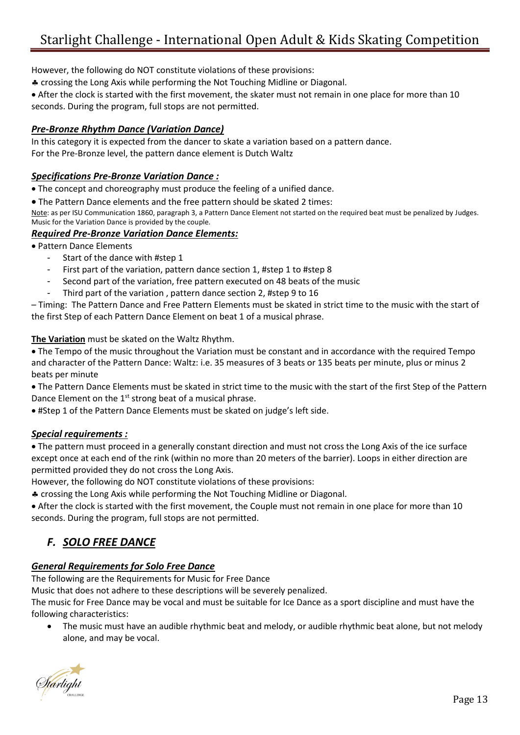However, the following do NOT constitute violations of these provisions:

crossing the Long Axis while performing the Not Touching Midline or Diagonal.

• After the clock is started with the first movement, the skater must not remain in one place for more than 10 seconds. During the program, full stops are not permitted.

### *Pre-Bronze Rhythm Dance (Variation Dance)*

In this category it is expected from the dancer to skate a variation based on a pattern dance. For the Pre-Bronze level, the pattern dance element is Dutch Waltz

### *Specifications Pre-Bronze Variation Dance :*

• The concept and choreography must produce the feeling of a unified dance.

• The Pattern Dance elements and the free pattern should be skated 2 times:

Note: as per ISU Communication 1860, paragraph 3, a Pattern Dance Element not started on the required beat must be penalized by Judges. Music for the Variation Dance is provided by the couple.

### *Required Pre-Bronze Variation Dance Elements:*

• Pattern Dance Elements

- Start of the dance with #step 1
- First part of the variation, pattern dance section 1, #step 1 to #step 8
- Second part of the variation, free pattern executed on 48 beats of the music
- Third part of the variation, pattern dance section 2, #step 9 to 16

– Timing: The Pattern Dance and Free Pattern Elements must be skated in strict time to the music with the start of the first Step of each Pattern Dance Element on beat 1 of a musical phrase.

**The Variation** must be skated on the Waltz Rhythm.

• The Tempo of the music throughout the Variation must be constant and in accordance with the required Tempo and character of the Pattern Dance: Waltz: i.e. 35 measures of 3 beats or 135 beats per minute, plus or minus 2 beats per minute

• The Pattern Dance Elements must be skated in strict time to the music with the start of the first Step of the Pattern Dance Element on the  $1<sup>st</sup>$  strong beat of a musical phrase.

• #Step 1 of the Pattern Dance Elements must be skated on judge's left side.

### *Special requirements :*

• The pattern must proceed in a generally constant direction and must not cross the Long Axis of the ice surface except once at each end of the rink (within no more than 20 meters of the barrier). Loops in either direction are permitted provided they do not cross the Long Axis.

However, the following do NOT constitute violations of these provisions:

crossing the Long Axis while performing the Not Touching Midline or Diagonal.

• After the clock is started with the first movement, the Couple must not remain in one place for more than 10 seconds. During the program, full stops are not permitted.

### *F. SOLO FREE DANCE*

### *General Requirements for Solo Free Dance*

The following are the Requirements for Music for Free Dance

Music that does not adhere to these descriptions will be severely penalized.

The music for Free Dance may be vocal and must be suitable for Ice Dance as a sport discipline and must have the following characteristics:

• The music must have an audible rhythmic beat and melody, or audible rhythmic beat alone, but not melody alone, and may be vocal.